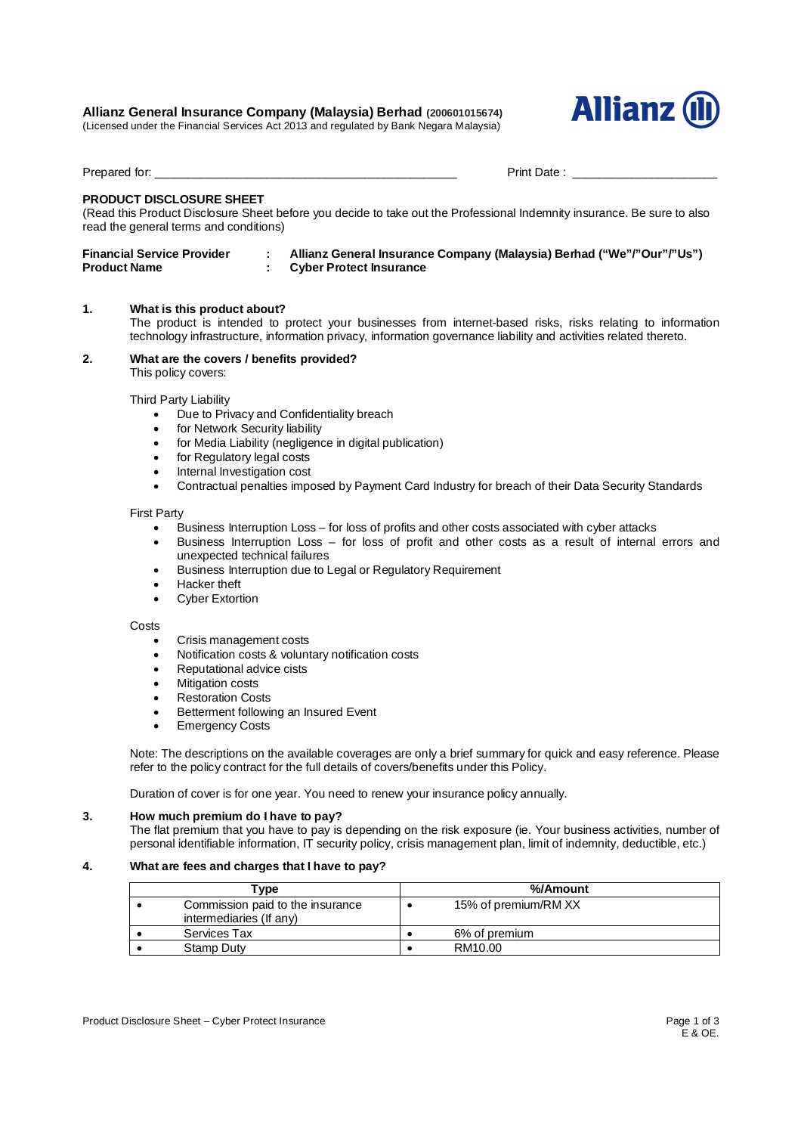# **Allianz General Insurance Company (Malaysia) Berhad (200601015674)**

(Licensed under the Financial Services Act 2013 and regulated by Bank Negara Malaysia)



Prepared for: \_\_\_\_\_\_\_\_\_\_\_\_\_\_\_\_\_\_\_\_\_\_\_\_\_\_\_\_\_\_\_\_\_\_\_\_\_\_\_\_\_\_\_\_\_\_ Print Date : \_\_\_\_\_\_\_\_\_\_\_\_\_\_\_\_\_\_\_\_\_\_

# **PRODUCT DISCLOSURE SHEET**

(Read this Product Disclosure Sheet before you decide to take out the Professional Indemnity insurance. Be sure to also read the general terms and conditions)

| <b>Financial Service Provider</b> | Allianz General Insurance Company (Malaysia) Berhad ("We"/"Our"/"Us") |
|-----------------------------------|-----------------------------------------------------------------------|
| <b>Product Name</b>               | <b>Cyber Protect Insurance</b>                                        |

#### **1. What is this product about?**

The product is intended to protect your businesses from internet-based risks, risks relating to information technology infrastructure, information privacy, information governance liability and activities related thereto.

#### **2. What are the covers / benefits provided?** This policy covers:

Third Party Liability

- Due to Privacy and Confidentiality breach
- for Network Security liability
- for Media Liability (negligence in digital publication)
- for Regulatory legal costs
- Internal Investigation cost
- Contractual penalties imposed by Payment Card Industry for breach of their Data Security Standards

#### First Party

- Business Interruption Loss for loss of profits and other costs associated with cyber attacks
- Business Interruption Loss for loss of profit and other costs as a result of internal errors and unexpected technical failures
- Business Interruption due to Legal or Regulatory Requirement
- Hacker theft
- Cyber Extortion

#### **Costs**

- Crisis management costs
- Notification costs & voluntary notification costs
- Reputational advice cists
- Mitigation costs
- Restoration Costs
- Betterment following an Insured Event
- Emergency Costs

Note: The descriptions on the available coverages are only a brief summary for quick and easy reference. Please refer to the policy contract for the full details of covers/benefits under this Policy.

Duration of cover is for one year. You need to renew your insurance policy annually.

# **3. How much premium do I have to pay?**

The flat premium that you have to pay is depending on the risk exposure (ie. Your business activities, number of personal identifiable information, IT security policy, crisis management plan, limit of indemnity, deductible, etc.)

# **4. What are fees and charges that I have to pay?**

| [vpe                                                        | %/Amount             |
|-------------------------------------------------------------|----------------------|
| Commission paid to the insurance<br>intermediaries (If any) | 15% of premium/RM XX |
| Services Tax                                                | 6% of premium        |
| Stamp Duty                                                  | RM10.00              |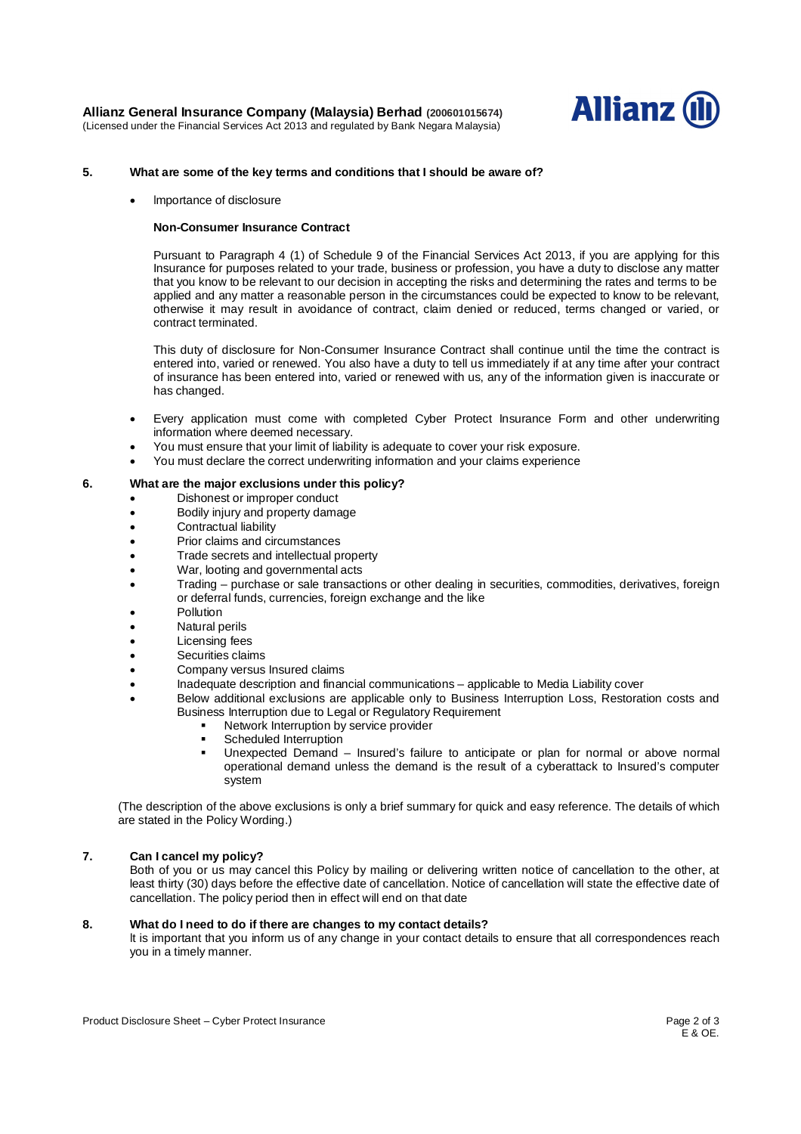

# **5. What are some of the key terms and conditions that I should be aware of?**

Importance of disclosure

#### **Non-Consumer Insurance Contract**

Pursuant to Paragraph 4 (1) of Schedule 9 of the Financial Services Act 2013, if you are applying for this Insurance for purposes related to your trade, business or profession, you have a duty to disclose any matter that you know to be relevant to our decision in accepting the risks and determining the rates and terms to be applied and any matter a reasonable person in the circumstances could be expected to know to be relevant, otherwise it may result in avoidance of contract, claim denied or reduced, terms changed or varied, or contract terminated.

This duty of disclosure for Non-Consumer Insurance Contract shall continue until the time the contract is entered into, varied or renewed. You also have a duty to tell us immediately if at any time after your contract of insurance has been entered into, varied or renewed with us, any of the information given is inaccurate or has changed.

- Every application must come with completed Cyber Protect Insurance Form and other underwriting information where deemed necessary.
- You must ensure that your limit of liability is adequate to cover your risk exposure.
- You must declare the correct underwriting information and your claims experience

# **6. What are the major exclusions under this policy?**

- Dishonest or improper conduct
- Bodily injury and property damage
- Contractual liability
- Prior claims and circumstances
- Trade secrets and intellectual property
- War, looting and governmental acts
- Trading purchase or sale transactions or other dealing in securities, commodities, derivatives, foreign or deferral funds, currencies, foreign exchange and the like
- Pollution
- Natural perils
- Licensing fees
- Securities claims
- Company versus Insured claims
- Inadequate description and financial communications applicable to Media Liability cover
- Below additional exclusions are applicable only to Business Interruption Loss, Restoration costs and Business Interruption due to Legal or Regulatory Requirement
	- Network Interruption by service provider
	- Scheduled Interruption
	- Unexpected Demand Insured's failure to anticipate or plan for normal or above normal operational demand unless the demand is the result of a cyberattack to Insured's computer system

(The description of the above exclusions is only a brief summary for quick and easy reference. The details of which are stated in the Policy Wording.)

# **7. Can I cancel my policy?**

Both of you or us may cancel this Policy by mailing or delivering written notice of cancellation to the other, at least thirty (30) days before the effective date of cancellation. Notice of cancellation will state the effective date of cancellation. The policy period then in effect will end on that date

# **8. What do I need to do if there are changes to my contact details?**

It is important that you inform us of any change in your contact details to ensure that all correspondences reach you in a timely manner.